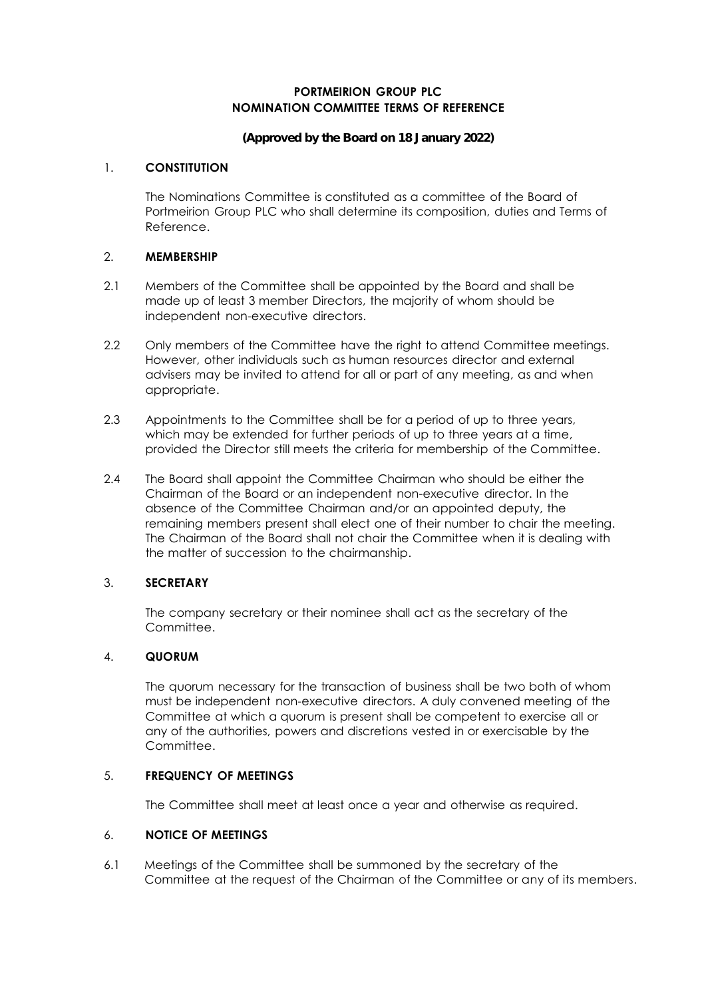#### **PORTMEIRION GROUP PLC NOMINATION COMMITTEE TERMS OF REFERENCE**

#### **(Approved by the Board on 18 January 2022)**

#### 1. **CONSTITUTION**

The Nominations Committee is constituted as a committee of the Board of Portmeirion Group PLC who shall determine its composition, duties and Terms of Reference.

#### 2. **MEMBERSHIP**

- 2.1 Members of the Committee shall be appointed by the Board and shall be made up of least 3 member Directors, the majority of whom should be independent non-executive directors.
- 2.2 Only members of the Committee have the right to attend Committee meetings. However, other individuals such as human resources director and external advisers may be invited to attend for all or part of any meeting, as and when appropriate.
- 2.3 Appointments to the Committee shall be for a period of up to three years, which may be extended for further periods of up to three years at a time, provided the Director still meets the criteria for membership of the Committee.
- 2.4 The Board shall appoint the Committee Chairman who should be either the Chairman of the Board or an independent non-executive director. In the absence of the Committee Chairman and/or an appointed deputy, the remaining members present shall elect one of their number to chair the meeting. The Chairman of the Board shall not chair the Committee when it is dealing with the matter of succession to the chairmanship.

## 3. **SECRETARY**

The company secretary or their nominee shall act as the secretary of the Committee.

# 4. **QUORUM**

The quorum necessary for the transaction of business shall be two both of whom must be independent non-executive directors. A duly convened meeting of the Committee at which a quorum is present shall be competent to exercise all or any of the authorities, powers and discretions vested in or exercisable by the Committee.

## 5. **FREQUENCY OF MEETINGS**

The Committee shall meet at least once a year and otherwise as required.

#### 6. **NOTICE OF MEETINGS**

6.1 Meetings of the Committee shall be summoned by the secretary of the Committee at the request of the Chairman of the Committee or any of its members.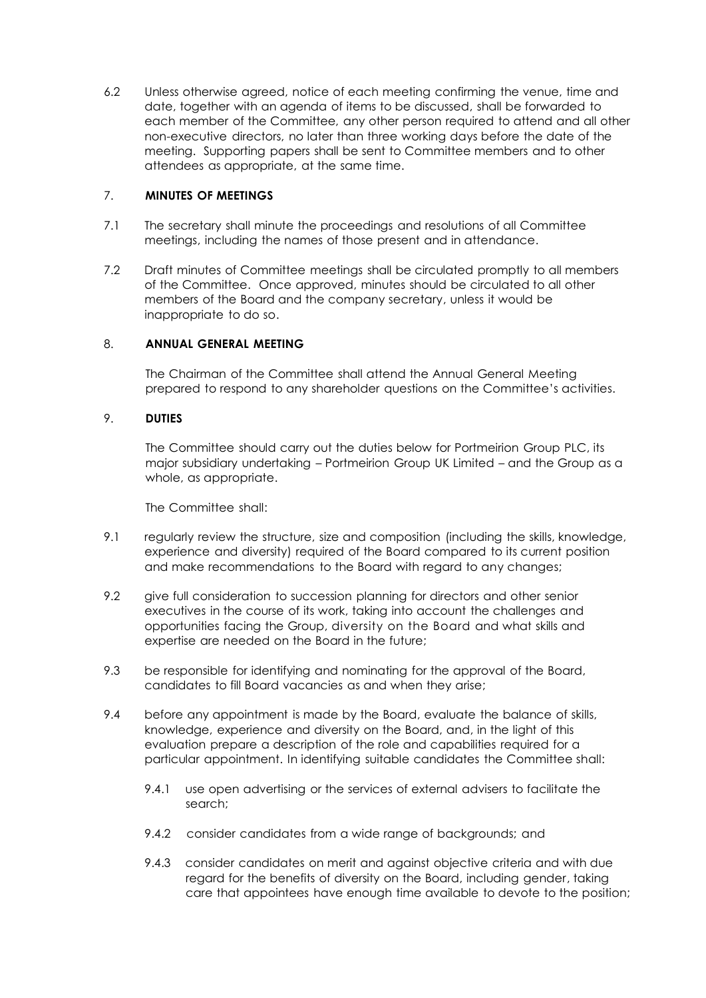6.2 Unless otherwise agreed, notice of each meeting confirming the venue, time and date, together with an agenda of items to be discussed, shall be forwarded to each member of the Committee, any other person required to attend and all other non-executive directors, no later than three working days before the date of the meeting. Supporting papers shall be sent to Committee members and to other attendees as appropriate, at the same time.

## 7. **MINUTES OF MEETINGS**

- 7.1 The secretary shall minute the proceedings and resolutions of all Committee meetings, including the names of those present and in attendance.
- 7.2 Draft minutes of Committee meetings shall be circulated promptly to all members of the Committee. Once approved, minutes should be circulated to all other members of the Board and the company secretary, unless it would be inappropriate to do so.

## 8. **ANNUAL GENERAL MEETING**

The Chairman of the Committee shall attend the Annual General Meeting prepared to respond to any shareholder questions on the Committee's activities.

## 9. **DUTIES**

The Committee should carry out the duties below for Portmeirion Group PLC, its major subsidiary undertaking – Portmeirion Group UK Limited – and the Group as a whole, as appropriate.

The Committee shall:

- 9.1 regularly review the structure, size and composition (including the skills, knowledge, experience and diversity) required of the Board compared to its current position and make recommendations to the Board with regard to any changes;
- 9.2 give full consideration to succession planning for directors and other senior executives in the course of its work, taking into account the challenges and opportunities facing the Group, diversity on the Board and what skills and expertise are needed on the Board in the future;
- 9.3 be responsible for identifying and nominating for the approval of the Board, candidates to fill Board vacancies as and when they arise;
- 9.4 before any appointment is made by the Board, evaluate the balance of skills, knowledge, experience and diversity on the Board, and, in the light of this evaluation prepare a description of the role and capabilities required for a particular appointment. In identifying suitable candidates the Committee shall:
	- 9.4.1 use open advertising or the services of external advisers to facilitate the search;
	- 9.4.2 consider candidates from a wide range of backgrounds; and
	- 9.4.3 consider candidates on merit and against objective criteria and with due regard for the benefits of diversity on the Board, including gender, taking care that appointees have enough time available to devote to the position;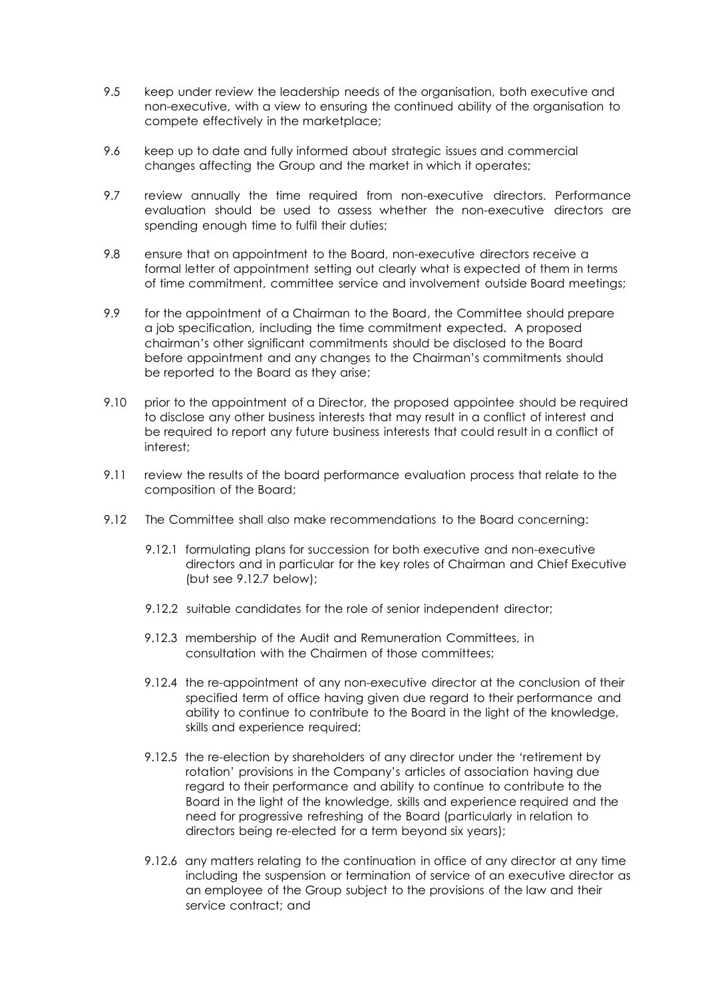- 9.5 keep under review the leadership needs of the organisation, both executive and non-executive, with a view to ensuring the continued ability of the organisation to compete effectively in the marketplace;
- 9.6 keep up to date and fully informed about strategic issues and commercial changes affecting the Group and the market in which it operates;
- 9.7 review annually the time required from non-executive directors. Performance evaluation should be used to assess whether the non-executive directors are spending enough time to fulfil their duties;
- 9.8 ensure that on appointment to the Board, non-executive directors receive a formal letter of appointment setting out clearly what is expected of them in terms of time commitment, committee service and involvement outside Board meetings;
- 9.9 for the appointment of a Chairman to the Board, the Committee should prepare a job specification, including the time commitment expected. A proposed chairman's other significant commitments should be disclosed to the Board before appointment and any changes to the Chairman's commitments should be reported to the Board as they arise;
- 9.10 prior to the appointment of a Director, the proposed appointee should be required to disclose any other business interests that may result in a conflict of interest and be required to report any future business interests that could result in a conflict of interest;
- 9.11 review the results of the board performance evaluation process that relate to the composition of the Board;
- 9.12 The Committee shall also make recommendations to the Board concerning:
	- 9.12.1 formulating plans for succession for both executive and non-executive directors and in particular for the key roles of Chairman and Chief Executive (but see 9.12.7 below);
	- 9.12.2 suitable candidates for the role of senior independent director;
	- 9.12.3 membership of the Audit and Remuneration Committees, in consultation with the Chairmen of those committees;
	- 9.12.4 the re-appointment of any non-executive director at the conclusion of their specified term of office having given due regard to their performance and ability to continue to contribute to the Board in the light of the knowledge, skills and experience required;
	- 9.12.5 the re-election by shareholders of any director under the 'retirement by rotation' provisions in the Company's articles of association having due regard to their performance and ability to continue to contribute to the Board in the light of the knowledge, skills and experience required and the need for progressive refreshing of the Board (particularly in relation to directors being re-elected for a term beyond six years);
	- 9.12.6 any matters relating to the continuation in office of any director at any time including the suspension or termination of service of an executive director as an employee of the Group subject to the provisions of the law and their service contract; and